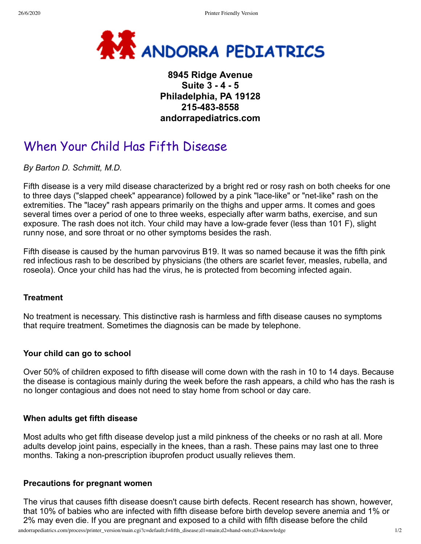

## **8945 Ridge Avenue Suite 3 - 4 - 5 Philadelphia, PA 19128 215-483-8558 andorrapediatrics.com**

# When Your Child Has Fifth Disease

*By Barton D. Schmitt, M.D.*

Fifth disease is a very mild disease characterized by a bright red or rosy rash on both cheeks for one to three days ("slapped cheek" appearance) followed by a pink "lace-like" or "net-like" rash on the extremities. The "lacey" rash appears primarily on the thighs and upper arms. It comes and goes several times over a period of one to three weeks, especially after warm baths, exercise, and sun exposure. The rash does not itch. Your child may have a low-grade fever (less than 101 F), slight runny nose, and sore throat or no other symptoms besides the rash.

Fifth disease is caused by the human parvovirus B19. It was so named because it was the fifth pink red infectious rash to be described by physicians (the others are scarlet fever, measles, rubella, and roseola). Once your child has had the virus, he is protected from becoming infected again.

#### **Treatment**

No treatment is necessary. This distinctive rash is harmless and fifth disease causes no symptoms that require treatment. Sometimes the diagnosis can be made by telephone.

### **Your child can go to school**

Over 50% of children exposed to fifth disease will come down with the rash in 10 to 14 days. Because the disease is contagious mainly during the week before the rash appears, a child who has the rash is no longer contagious and does not need to stay home from school or day care.

### **When adults get fifth disease**

Most adults who get fifth disease develop just a mild pinkness of the cheeks or no rash at all. More adults develop joint pains, especially in the knees, than a rash. These pains may last one to three months. Taking a non-prescription ibuprofen product usually relieves them.

### **Precautions for pregnant women**

The virus that causes fifth disease doesn't cause birth defects. Recent research has shown, however, that 10% of babies who are infected with fifth disease before birth develop severe anemia and 1% or 2% may even die. If you are pregnant and exposed to a child with fifth disease before the child